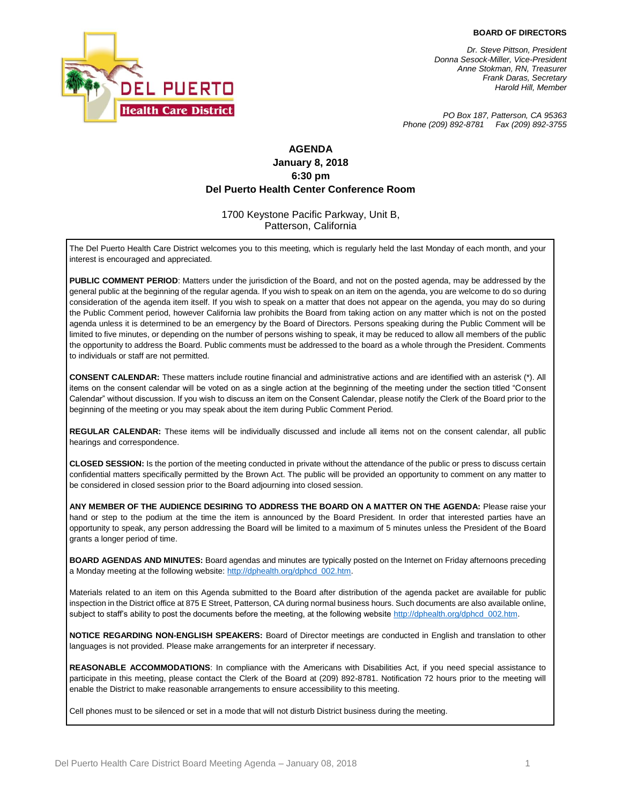#### **BOARD OF DIRECTORS**



*Dr. Steve Pittson, President Donna Sesock-Miller, Vice-President Anne Stokman, RN, Treasurer Frank Daras, Secretary Harold Hill, Member*

*PO Box 187, Patterson, CA 95363 Phone (209) 892-8781 Fax (209) 892-3755*

## **AGENDA January 8, 2018 6:30 pm Del Puerto Health Center Conference Room**

#### 1700 Keystone Pacific Parkway, Unit B, Patterson, California

The Del Puerto Health Care District welcomes you to this meeting, which is regularly held the last Monday of each month, and your interest is encouraged and appreciated.

**PUBLIC COMMENT PERIOD**: Matters under the jurisdiction of the Board, and not on the posted agenda, may be addressed by the general public at the beginning of the regular agenda. If you wish to speak on an item on the agenda, you are welcome to do so during consideration of the agenda item itself. If you wish to speak on a matter that does not appear on the agenda, you may do so during the Public Comment period, however California law prohibits the Board from taking action on any matter which is not on the posted agenda unless it is determined to be an emergency by the Board of Directors. Persons speaking during the Public Comment will be limited to five minutes, or depending on the number of persons wishing to speak, it may be reduced to allow all members of the public the opportunity to address the Board. Public comments must be addressed to the board as a whole through the President. Comments to individuals or staff are not permitted.

**CONSENT CALENDAR:** These matters include routine financial and administrative actions and are identified with an asterisk (\*). All items on the consent calendar will be voted on as a single action at the beginning of the meeting under the section titled "Consent Calendar" without discussion. If you wish to discuss an item on the Consent Calendar, please notify the Clerk of the Board prior to the beginning of the meeting or you may speak about the item during Public Comment Period.

**REGULAR CALENDAR:** These items will be individually discussed and include all items not on the consent calendar, all public hearings and correspondence.

**CLOSED SESSION:** Is the portion of the meeting conducted in private without the attendance of the public or press to discuss certain confidential matters specifically permitted by the Brown Act. The public will be provided an opportunity to comment on any matter to be considered in closed session prior to the Board adjourning into closed session.

**ANY MEMBER OF THE AUDIENCE DESIRING TO ADDRESS THE BOARD ON A MATTER ON THE AGENDA:** Please raise your hand or step to the podium at the time the item is announced by the Board President. In order that interested parties have an opportunity to speak, any person addressing the Board will be limited to a maximum of 5 minutes unless the President of the Board grants a longer period of time.

**BOARD AGENDAS AND MINUTES:** Board agendas and minutes are typically posted on the Internet on Friday afternoons preceding a Monday meeting at the following website: http://dphealth.org/dphcd\_002.htm.

Materials related to an item on this Agenda submitted to the Board after distribution of the agenda packet are available for public inspection in the District office at 875 E Street, Patterson, CA during normal business hours. Such documents are also available online, subject to staff's ability to post the documents before the meeting, at the following websit[e http://dphealth.org/dphcd\\_002.htm.](http://dphealth.org/dphcd_002.htm)

**NOTICE REGARDING NON-ENGLISH SPEAKERS:** Board of Director meetings are conducted in English and translation to other languages is not provided. Please make arrangements for an interpreter if necessary.

**REASONABLE ACCOMMODATIONS**: In compliance with the Americans with Disabilities Act, if you need special assistance to participate in this meeting, please contact the Clerk of the Board at (209) 892-8781. Notification 72 hours prior to the meeting will enable the District to make reasonable arrangements to ensure accessibility to this meeting.

Cell phones must to be silenced or set in a mode that will not disturb District business during the meeting.